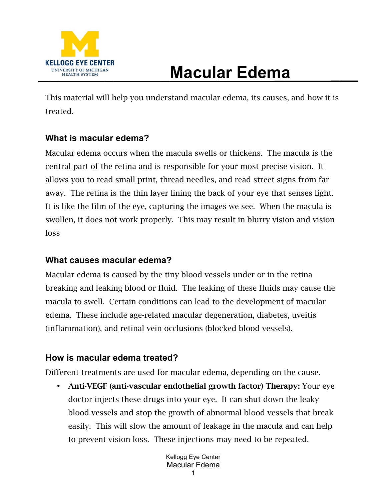

## **Macular Edema**

This material will help you understand macular edema, its causes, and how it is treated.

## **What is macular edema?**

Macular edema occurs when the macula swells or thickens. The macula is the central part of the retina and is responsible for your most precise vision. It allows you to read small print, thread needles, and read street signs from far away. The retina is the thin layer lining the back of your eye that senses light. It is like the film of the eye, capturing the images we see. When the macula is swollen, it does not work properly. This may result in blurry vision and vision loss

## **What causes macular edema?**

Macular edema is caused by the tiny blood vessels under or in the retina breaking and leaking blood or fluid. The leaking of these fluids may cause the macula to swell. Certain conditions can lead to the development of macular edema. These include age-related macular degeneration, diabetes, uveitis (inflammation), and retinal vein occlusions (blocked blood vessels).

## **How is macular edema treated?**

Different treatments are used for macular edema, depending on the cause.

• Anti-VEGF (anti-vascular endothelial growth factor) Therapy: Your eye doctor injects these drugs into your eye. It can shut down the leaky blood vessels and stop the growth of abnormal blood vessels that break easily. This will slow the amount of leakage in the macula and can help to prevent vision loss. These injections may need to be repeated.